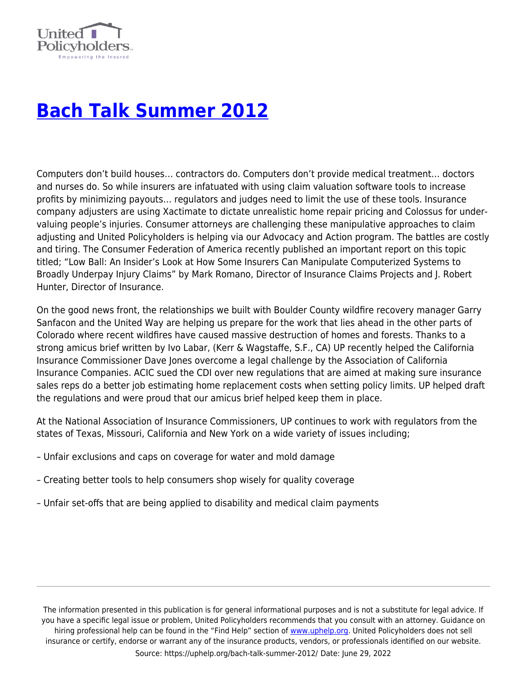

## **[Bach Talk Summer 2012](https://uphelp.org/bach-talk-summer-2012/)**

Computers don't build houses… contractors do. Computers don't provide medical treatment… doctors and nurses do. So while insurers are infatuated with using claim valuation software tools to increase profits by minimizing payouts… regulators and judges need to limit the use of these tools. Insurance company adjusters are using Xactimate to dictate unrealistic home repair pricing and Colossus for undervaluing people's injuries. Consumer attorneys are challenging these manipulative approaches to claim adjusting and United Policyholders is helping via our Advocacy and Action program. The battles are costly and tiring. The Consumer Federation of America recently published an important report on this topic titled; "Low Ball: An Insider's Look at How Some Insurers Can Manipulate Computerized Systems to Broadly Underpay Injury Claims" by Mark Romano, Director of Insurance Claims Projects and J. Robert Hunter, Director of Insurance.

On the good news front, the relationships we built with Boulder County wildfire recovery manager Garry Sanfacon and the United Way are helping us prepare for the work that lies ahead in the other parts of Colorado where recent wildfires have caused massive destruction of homes and forests. Thanks to a strong amicus brief written by Ivo Labar, (Kerr & Wagstaffe, S.F., CA) UP recently helped the California Insurance Commissioner Dave Jones overcome a legal challenge by the Association of California Insurance Companies. ACIC sued the CDI over new regulations that are aimed at making sure insurance sales reps do a better job estimating home replacement costs when setting policy limits. UP helped draft the regulations and were proud that our amicus brief helped keep them in place.

At the National Association of Insurance Commissioners, UP continues to work with regulators from the states of Texas, Missouri, California and New York on a wide variety of issues including;

- Unfair exclusions and caps on coverage for water and mold damage
- Creating better tools to help consumers shop wisely for quality coverage
- Unfair set-offs that are being applied to disability and medical claim payments

The information presented in this publication is for general informational purposes and is not a substitute for legal advice. If you have a specific legal issue or problem, United Policyholders recommends that you consult with an attorney. Guidance on hiring professional help can be found in the "Find Help" section of [www.uphelp.org.](http://www.uphelp.org/) United Policyholders does not sell insurance or certify, endorse or warrant any of the insurance products, vendors, or professionals identified on our website. Source: https://uphelp.org/bach-talk-summer-2012/ Date: June 29, 2022